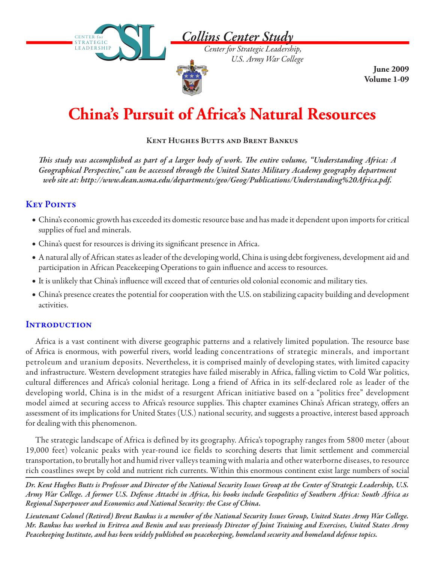

*Center for Strategic Leadership, U.S. Army War College*

**June 2009 Volume 1-09**

# **China's Pursuit of Africa's Natural Resources**

### Kent Hughes Butts and Brent Bankus

*This study was accomplished as part of a larger body of work. The entire volume, "Understanding Africa: A Geographical Perspective," can be accessed through the United States Military Academy geography department web site at: http://www.dean.usma.edu/departments/geo/Geog/Publications/Understanding%20Africa.pdf.*

# **KEY POINTS**

- • China's economic growth has exceeded its domestic resource base and has made it dependent upon imports for critical supplies of fuel and minerals.
- China's quest for resources is driving its significant presence in Africa.

**CSL** CE N T E R f o r

S T R AT E G I C LEADERSHIP

- • A natural ally of African states as leader of the developing world, China is using debt forgiveness, development aid and participation in African Peacekeeping Operations to gain influence and access to resources.
- • It is unlikely that China's influence will exceed that of centuries old colonial economic and military ties.
- • China's presence creates the potential for cooperation with the U.S. on stabilizing capacity building and development activities.

## **INTRODUCTION**

Africa is a vast continent with diverse geographic patterns and a relatively limited population. The resource base of Africa is enormous, with powerful rivers, world leading concentrations of strategic minerals, and important petroleum and uranium deposits. Nevertheless, it is comprised mainly of developing states, with limited capacity and infrastructure. Western development strategies have failed miserably in Africa, falling victim to Cold War politics, cultural differences and Africa's colonial heritage. Long a friend of Africa in its self-declared role as leader of the developing world, China is in the midst of a resurgent African initiative based on a "politics free" development model aimed at securing access to Africa's resource supplies. This chapter examines China's African strategy, offers an assessment of its implications for United States (U.S.) national security, and suggests a proactive, interest based approach for dealing with this phenomenon.

The strategic landscape of Africa is defined by its geography. Africa's topography ranges from 5800 meter (about 19,000 feet) volcanic peaks with year-round ice fields to scorching deserts that limit settlement and commercial transportation, to brutally hot and humid river valleys teaming with malaria and other waterborne diseases, to resource rich coastlines swept by cold and nutrient rich currents. Within this enormous continent exist large numbers of social

*Dr. Kent Hughes Butts is Professor and Director of the National Security Issues Group at the Center of Strategic Leadership, U.S. Army War College. A former U.S. Defense Attaché in Africa, his books include Geopolitics of Southern Africa: South Africa as Regional Superpower and Economics and National Security: the Case of China.*

*Lieutenant Colonel (Retired) Brent Bankus is a member of the National Security Issues Group, United States Army War College. Mr. Bankus has worked in Eritrea and Benin and was previously Director of Joint Training and Exercises, United States Army Peacekeeping Institute, and has been widely published on peacekeeping, homeland security and homeland defense topics.*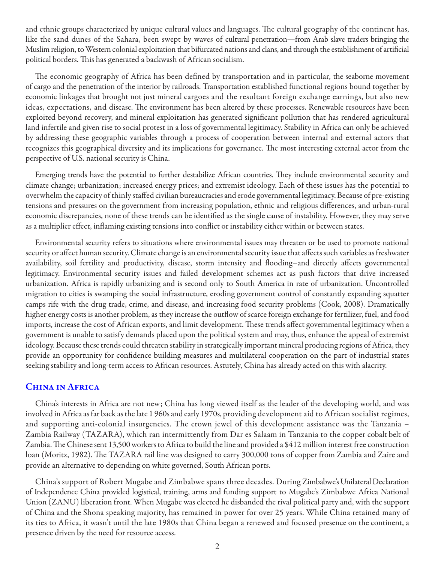and ethnic groups characterized by unique cultural values and languages. The cultural geography of the continent has, like the sand dunes of the Sahara, been swept by waves of cultural penetration—from Arab slave traders bringing the Muslim religion, to Western colonial exploitation that bifurcated nations and clans, and through the establishment of artificial political borders. This has generated a backwash of African socialism.

The economic geography of Africa has been defined by transportation and in particular, the seaborne movement of cargo and the penetration of the interior by railroads. Transportation established functional regions bound together by economic linkages that brought not just mineral cargoes and the resultant foreign exchange earnings, but also new ideas, expectations, and disease. The environment has been altered by these processes. Renewable resources have been exploited beyond recovery, and mineral exploitation has generated significant pollution that has rendered agricultural land infertile and given rise to social protest in a loss of governmental legitimacy. Stability in Africa can only be achieved by addressing these geographic variables through a process of cooperation between internal and external actors that recognizes this geographical diversity and its implications for governance. The most interesting external actor from the perspective of U.S. national security is China.

Emerging trends have the potential to further destabilize African countries. They include environmental security and climate change; urbanization; increased energy prices; and extremist ideology. Each of these issues has the potential to overwhelm the capacity of thinly staffed civilian bureaucracies and erode governmental legitimacy. Because of pre-existing tensions and pressures on the government from increasing population, ethnic and religious differences, and urban-rural economic discrepancies, none of these trends can be identified as the single cause of instability. However, they may serve as a multiplier effect, inflaming existing tensions into conflict or instability either within or between states.

Environmental security refers to situations where environmental issues may threaten or be used to promote national security or affect human security. Climate change is an environmental security issue that affects such variables as freshwater availability, soil fertility and productivity, disease, storm intensity and flooding−and directly affects governmental legitimacy. Environmental security issues and failed development schemes act as push factors that drive increased urbanization. Africa is rapidly urbanizing and is second only to South America in rate of urbanization. Uncontrolled migration to cities is swamping the social infrastructure, eroding government control of constantly expanding squatter camps rife with the drug trade, crime, and disease, and increasing food security problems (Cook, 2008). Dramatically higher energy costs is another problem, as they increase the outflow of scarce foreign exchange for fertilizer, fuel, and food imports, increase the cost of African exports, and limit development. These trends affect governmental legitimacy when a government is unable to satisfy demands placed upon the political system and may, thus, enhance the appeal of extremist ideology. Because these trends could threaten stability in strategically important mineral producing regions of Africa, they provide an opportunity for confidence building measures and multilateral cooperation on the part of industrial states seeking stability and long-term access to African resources. Astutely, China has already acted on this with alacrity.

#### China in Africa

China's interests in Africa are not new; China has long viewed itself as the leader of the developing world, and was involved in Africa as far back as the late 1 960s and early 1970s, providing development aid to African socialist regimes, and supporting anti-colonial insurgencies. The crown jewel of this development assistance was the Tanzania – Zambia Railway (TAZARA), which ran intermittently from Dar es Salaam in Tanzania to the copper cobalt belt of Zambia. The Chinese sent 13,500 workers to Africa to build the line and provided a \$412 million interest free construction loan (Moritz, 1982). The TAZARA rail line was designed to carry 300,000 tons of copper from Zambia and Zaire and provide an alternative to depending on white governed, South African ports.

China's support of Robert Mugabe and Zimbabwe spans three decades. During Zimbabwe's Unilateral Declaration of Independence China provided logistical, training, arms and funding support to Mugabe's Zimbabwe Africa National Union (ZANU) liberation front. When Mugabe was elected he disbanded the rival political party and, with the support of China and the Shona speaking majority, has remained in power for over 25 years. While China retained many of its ties to Africa, it wasn't until the late 1980s that China began a renewed and focused presence on the continent, a presence driven by the need for resource access.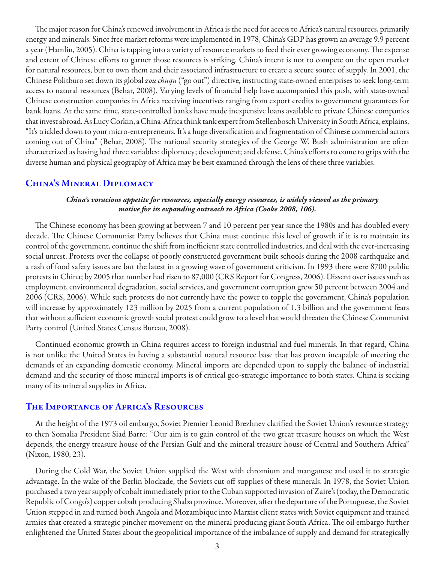The major reason for China's renewed involvement in Africa is the need for access to Africa's natural resources, primarily energy and minerals. Since free market reforms were implemented in 1978, China's GDP has grown an average 9.9 percent a year (Hamlin, 2005). China is tapping into a variety of resource markets to feed their ever growing economy. The expense and extent of Chinese efforts to garner those resources is striking. China's intent is not to compete on the open market for natural resources, but to own them and their associated infrastructure to create a secure source of supply. In 2001, the Chinese Politburo set down its global *zou chuqu* ("go out") directive, instructing state-owned enterprises to seek long-term access to natural resources (Behar, 2008). Varying levels of financial help have accompanied this push, with state-owned Chinese construction companies in Africa receiving incentives ranging from export credits to government guarantees for bank loans. At the same time, state-controlled banks have made inexpensive loans available to private Chinese companies that invest abroad. As Lucy Corkin, a China-Africa think tank expert from Stellenbosch University in South Africa, explains, "It's trickled down to your micro-entrepreneurs. It's a huge diversification and fragmentation of Chinese commercial actors coming out of China" (Behar, 2008). The national security strategies of the George W. Bush administration are often characterized as having had three variables: diplomacy; development; and defense. China's efforts to come to grips with the diverse human and physical geography of Africa may be best examined through the lens of these three variables.

#### China's Mineral Diplomacy

#### *China's voracious appetite for resources, especially energy resources, is widely viewed as the primary motive for its expanding outreach to Africa (Cooke 2008, 106).*

The Chinese economy has been growing at between 7 and 10 percent per year since the 1980s and has doubled every decade. The Chinese Communist Party believes that China must continue this level of growth if it is to maintain its control of the government, continue the shift from inefficient state controlled industries, and deal with the ever-increasing social unrest. Protests over the collapse of poorly constructed government built schools during the 2008 earthquake and a rash of food safety issues are but the latest in a growing wave of government criticism. In 1993 there were 8700 public protests in China; by 2005 that number had risen to 87,000 (CRS Report for Congress, 2006). Dissent over issues such as employment, environmental degradation, social services, and government corruption grew 50 percent between 2004 and 2006 (CRS, 2006). While such protests do not currently have the power to topple the government, China's population will increase by approximately 123 million by 2025 from a current population of 1.3 billion and the government fears that without sufficient economic growth social protest could grow to a level that would threaten the Chinese Communist Party control (United States Census Bureau, 2008).

Continued economic growth in China requires access to foreign industrial and fuel minerals. In that regard, China is not unlike the United States in having a substantial natural resource base that has proven incapable of meeting the demands of an expanding domestic economy. Mineral imports are depended upon to supply the balance of industrial demand and the security of those mineral imports is of critical geo-strategic importance to both states. China is seeking many of its mineral supplies in Africa.

#### THE IMPORTANCE OF AFRICA'S RESOURCES

At the height of the 1973 oil embargo, Soviet Premier Leonid Brezhnev clarified the Soviet Union's resource strategy to then Somalia President Siad Barre: "Our aim is to gain control of the two great treasure houses on which the West depends, the energy treasure house of the Persian Gulf and the mineral treasure house of Central and Southern Africa" (Nixon, 1980, 23).

During the Cold War, the Soviet Union supplied the West with chromium and manganese and used it to strategic advantage. In the wake of the Berlin blockade, the Soviets cut off supplies of these minerals. In 1978, the Soviet Union purchased a two year supply of cobalt immediately prior to the Cuban supported invasion of Zaire's (today, the Democratic Republic of Congo's) copper cobalt producing Shaba province. Moreover, after the departure of the Portuguese, the Soviet Union stepped in and turned both Angola and Mozambique into Marxist client states with Soviet equipment and trained armies that created a strategic pincher movement on the mineral producing giant South Africa. The oil embargo further enlightened the United States about the geopolitical importance of the imbalance of supply and demand for strategically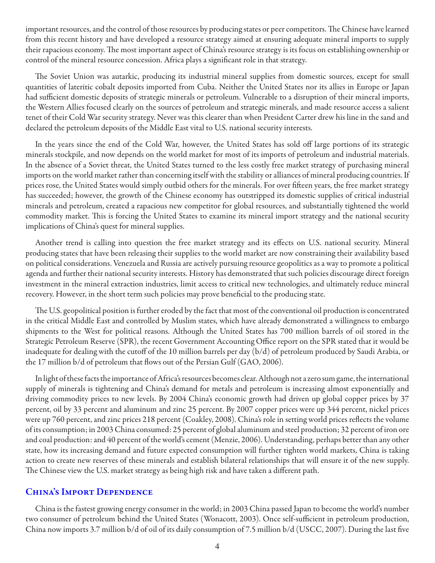important resources, and the control of those resources by producing states or peer competitors. The Chinese have learned from this recent history and have developed a resource strategy aimed at ensuring adequate mineral imports to supply their rapacious economy. The most important aspect of China's resource strategy is its focus on establishing ownership or control of the mineral resource concession. Africa plays a significant role in that strategy.

The Soviet Union was autarkic, producing its industrial mineral supplies from domestic sources, except for small quantities of lateritic cobalt deposits imported from Cuba. Neither the United States nor its allies in Europe or Japan had sufficient domestic deposits of strategic minerals or petroleum. Vulnerable to a disruption of their mineral imports, the Western Allies focused clearly on the sources of petroleum and strategic minerals, and made resource access a salient tenet of their Cold War security strategy. Never was this clearer than when President Carter drew his line in the sand and declared the petroleum deposits of the Middle East vital to U.S. national security interests.

In the years since the end of the Cold War, however, the United States has sold off large portions of its strategic minerals stockpile, and now depends on the world market for most of its imports of petroleum and industrial materials. In the absence of a Soviet threat, the United States turned to the less costly free market strategy of purchasing mineral imports on the world market rather than concerning itself with the stability or alliances of mineral producing countries. If prices rose, the United States would simply outbid others for the minerals. For over fifteen years, the free market strategy has succeeded; however, the growth of the Chinese economy has outstripped its domestic supplies of critical industrial minerals and petroleum, created a rapacious new competitor for global resources, and substantially tightened the world commodity market. This is forcing the United States to examine its mineral import strategy and the national security implications of China's quest for mineral supplies.

Another trend is calling into question the free market strategy and its effects on U.S. national security. Mineral producing states that have been releasing their supplies to the world market are now constraining their availability based on political considerations. Venezuela and Russia are actively pursuing resource geopolitics as a way to promote a political agenda and further their national security interests. History has demonstrated that such policies discourage direct foreign investment in the mineral extraction industries, limit access to critical new technologies, and ultimately reduce mineral recovery. However, in the short term such policies may prove beneficial to the producing state.

The U.S. geopolitical position is further eroded by the fact that most of the conventional oil production is concentrated in the critical Middle East and controlled by Muslim states, which have already demonstrated a willingness to embargo shipments to the West for political reasons. Although the United States has 700 million barrels of oil stored in the Strategic Petroleum Reserve (SPR), the recent Government Accounting Office report on the SPR stated that it would be inadequate for dealing with the cutoff of the 10 million barrels per day (b/d) of petroleum produced by Saudi Arabia, or the 17 million b/d of petroleum that flows out of the Persian Gulf (GAO, 2006).

In light of these facts the importance of Africa's resources becomes clear. Although not a zero sum game, the international supply of minerals is tightening and China's demand for metals and petroleum is increasing almost exponentially and driving commodity prices to new levels. By 2004 China's economic growth had driven up global copper prices by 37 percent, oil by 33 percent and aluminum and zinc 25 percent. By 2007 copper prices were up 344 percent, nickel prices were up 760 percent, and zinc prices 218 percent (Coakley, 2008). China's role in setting world prices reflects the volume of its consumption; in 2003 China consumed: 25 percent of global aluminum and steel production; 32 percent of iron ore and coal production: and 40 percent of the world's cement (Menzie, 2006). Understanding, perhaps better than any other state, how its increasing demand and future expected consumption will further tighten world markets, China is taking action to create new reserves of these minerals and establish bilateral relationships that will ensure it of the new supply. The Chinese view the U.S. market strategy as being high risk and have taken a different path.

#### China's Import Dependence

China is the fastest growing energy consumer in the world; in 2003 China passed Japan to become the world's number two consumer of petroleum behind the United States (Wonacott, 2003). Once self-sufficient in petroleum production, China now imports 3.7 million b/d of oil of its daily consumption of 7.5 million b/d (USCC, 2007). During the last five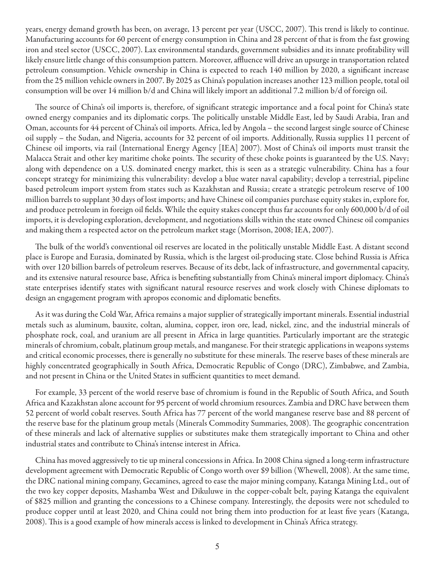years, energy demand growth has been, on average, 13 percent per year (USCC, 2007). This trend is likely to continue. Manufacturing accounts for 60 percent of energy consumption in China and 28 percent of that is from the fast growing iron and steel sector (USCC, 2007). Lax environmental standards, government subsidies and its innate profitability will likely ensure little change of this consumption pattern. Moreover, affluence will drive an upsurge in transportation related petroleum consumption. Vehicle ownership in China is expected to reach 140 million by 2020, a significant increase from the 25 million vehicle owners in 2007. By 2025 as China's population increases another 123 million people, total oil consumption will be over 14 million b/d and China will likely import an additional 7.2 million b/d of foreign oil.

The source of China's oil imports is, therefore, of significant strategic importance and a focal point for China's state owned energy companies and its diplomatic corps. The politically unstable Middle East, led by Saudi Arabia, Iran and Oman, accounts for 44 percent of China's oil imports. Africa, led by Angola – the second largest single source of Chinese oil supply – the Sudan, and Nigeria, accounts for 32 percent of oil imports. Additionally, Russia supplies 11 percent of Chinese oil imports, via rail (International Energy Agency [IEA] 2007). Most of China's oil imports must transit the Malacca Strait and other key maritime choke points. The security of these choke points is guaranteed by the U.S. Navy; along with dependence on a U.S. dominated energy market, this is seen as a strategic vulnerability. China has a four concept strategy for minimizing this vulnerability: develop a blue water naval capability; develop a terrestrial, pipeline based petroleum import system from states such as Kazakhstan and Russia; create a strategic petroleum reserve of 100 million barrels to supplant 30 days of lost imports; and have Chinese oil companies purchase equity stakes in, explore for, and produce petroleum in foreign oil fields. While the equity stakes concept thus far accounts for only 600,000 b/d of oil imports, it is developing exploration, development, and negotiations skills within the state owned Chinese oil companies and making them a respected actor on the petroleum market stage (Morrison, 2008; IEA, 2007).

The bulk of the world's conventional oil reserves are located in the politically unstable Middle East. A distant second place is Europe and Eurasia, dominated by Russia, which is the largest oil-producing state. Close behind Russia is Africa with over 120 billion barrels of petroleum reserves. Because of its debt, lack of infrastructure, and governmental capacity, and its extensive natural resource base, Africa is benefiting substantially from China's mineral import diplomacy. China's state enterprises identify states with significant natural resource reserves and work closely with Chinese diplomats to design an engagement program with apropos economic and diplomatic benefits.

As it was during the Cold War, Africa remains a major supplier of strategically important minerals. Essential industrial metals such as aluminum, bauxite, coltan, alumina, copper, iron ore, lead, nickel, zinc, and the industrial minerals of phosphate rock, coal, and uranium are all present in Africa in large quantities. Particularly important are the strategic minerals of chromium, cobalt, platinum group metals, and manganese. For their strategic applications in weapons systems and critical economic processes, there is generally no substitute for these minerals. The reserve bases of these minerals are highly concentrated geographically in South Africa, Democratic Republic of Congo (DRC), Zimbabwe, and Zambia, and not present in China or the United States in sufficient quantities to meet demand.

For example, 33 percent of the world reserve base of chromium is found in the Republic of South Africa, and South Africa and Kazakhstan alone account for 95 percent of world chromium resources. Zambia and DRC have between them 52 percent of world cobalt reserves. South Africa has 77 percent of the world manganese reserve base and 88 percent of the reserve base for the platinum group metals (Minerals Commodity Summaries, 2008). The geographic concentration of these minerals and lack of alternative supplies or substitutes make them strategically important to China and other industrial states and contribute to China's intense interest in Africa.

China has moved aggressively to tie up mineral concessions in Africa. In 2008 China signed a long-term infrastructure development agreement with Democratic Republic of Congo worth over \$9 billion (Whewell, 2008). At the same time, the DRC national mining company, Gecamines, agreed to ease the major mining company, Katanga Mining Ltd., out of the two key copper deposits, Mashamba West and Dikuluwe in the copper-cobalt belt, paying Katanga the equivalent of \$825 million and granting the concessions to a Chinese company. Interestingly, the deposits were not scheduled to produce copper until at least 2020, and China could not bring them into production for at least five years (Katanga, 2008). This is a good example of how minerals access is linked to development in China's Africa strategy.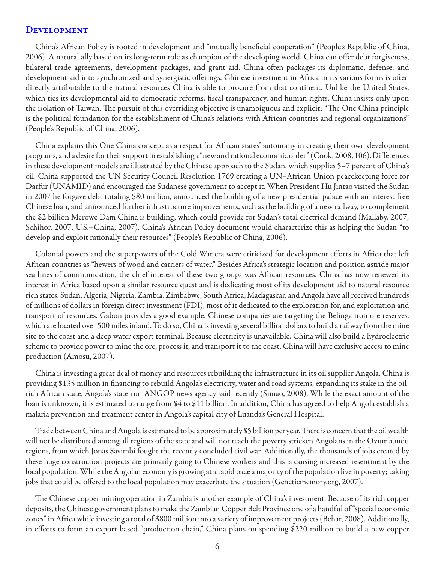#### **DEVELOPMENT**

China's African Policy is rooted in development and "mutually beneficial cooperation" (People's Republic of China, 2006). A natural ally based on its long-term role as champion of the developing world, China can offer debt forgiveness, bilateral trade agreements, development packages, and grant aid. China often packages its diplomatic, defense, and development aid into synchronized and synergistic offerings. Chinese investment in Africa in its various forms is often directly attributable to the natural resources China is able to procure from that continent. Unlike the United States, which ties its developmental aid to democratic reforms, fiscal transparency, and human rights, China insists only upon the isolation of Taiwan. The pursuit of this overriding objective is unambiguous and explicit: "The One China principle is the political foundation for the establishment of China's relations with African countries and regional organizations" (People's Republic of China, 2006).

China explains this One China concept as a respect for African states' autonomy in creating their own development programs, and a desire for their support in establishing a "new and rational economic order" (Cook, 2008, 106). Differences in these development models are illustrated by the Chinese approach to the Sudan, which supplies 5–7 percent of China's oil. China supported the UN Security Council Resolution 1769 creating a UN–African Union peacekeeping force for Darfur (UNAMID) and encouraged the Sudanese government to accept it. When President Hu Jintao visited the Sudan in 2007 he forgave debt totaling \$80 million, announced the building of a new presidential palace with an interest free Chinese loan, and announced further infrastructure improvements, such as the building of a new railway, to complement the \$2 billion Merowe Dam China is building, which could provide for Sudan's total electrical demand (Mallaby, 2007; Schihor, 2007; U.S.–China, 2007). China's African Policy document would characterize this as helping the Sudan "to develop and exploit rationally their resources" (People's Republic of China, 2006).

Colonial powers and the superpowers of the Cold War era were criticized for development efforts in Africa that left African countries as "hewers of wood and carriers of water." Besides Africa's strategic location and position astride major sea lines of communication, the chief interest of these two groups was African resources. China has now renewed its interest in Africa based upon a similar resource quest and is dedicating most of its development aid to natural resource rich states. Sudan, Algeria, Nigeria, Zambia, Zimbabwe, South Africa, Madagascar, and Angola have all received hundreds of millions of dollars in foreign direct investment (FDI), most of it dedicated to the exploration for, and exploitation and transport of resources. Gabon provides a good example. Chinese companies are targeting the Belinga iron ore reserves, which are located over 500 miles inland. To do so, China is investing several billion dollars to build a railway from the mine site to the coast and a deep water export terminal. Because electricity is unavailable, China will also build a hydroelectric scheme to provide power to mine the ore, process it, and transport it to the coast. China will have exclusive access to mine production (Amosu, 2007).

China is investing a great deal of money and resources rebuilding the infrastructure in its oil supplier Angola. China is providing \$135 million in financing to rebuild Angola's electricity, water and road systems, expanding its stake in the oilrich African state, Angola's state-run ANGOP news agency said recently (Simao, 2008). While the exact amount of the loan is unknown, it is estimated to range from \$4 to \$11 billion. In addition, China has agreed to help Angola establish a malaria prevention and treatment center in Angola's capital city of Luanda's General Hospital.

Trade between China and Angola is estimated to be approximately \$5 billion per year. There is concern that the oil wealth will not be distributed among all regions of the state and will not reach the poverty stricken Angolans in the Ovumbundu regions, from which Jonas Savimbi fought the recently concluded civil war. Additionally, the thousands of jobs created by these huge construction projects are primarily going to Chinese workers and this is causing increased resentment by the local population. While the Angolan economy is growing at a rapid pace a majority of the population live in poverty; taking jobs that could be offered to the local population may exacerbate the situation (Geneticmemory.org, 2007).

The Chinese copper mining operation in Zambia is another example of China's investment. Because of its rich copper deposits, the Chinese government plans to make the Zambian Copper Belt Province one of a handful of "special economic zones" in Africa while investing a total of \$800 million into a variety of improvement projects (Behar, 2008). Additionally, in efforts to form an export based "production chain," China plans on spending \$220 million to build a new copper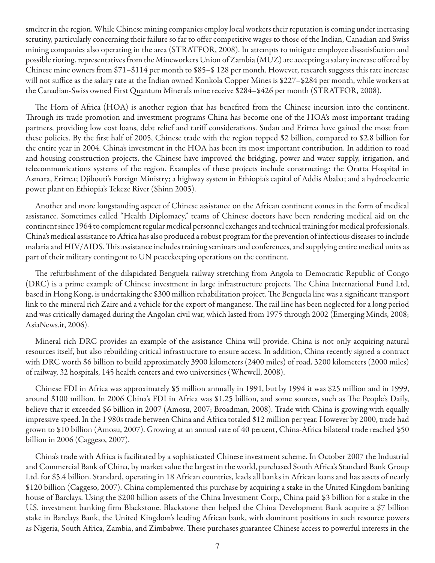smelter in the region. While Chinese mining companies employ local workers their reputation is coming under increasing scrutiny, particularly concerning their failure so far to offer competitive wages to those of the Indian, Canadian and Swiss mining companies also operating in the area (STRATFOR, 2008). In attempts to mitigate employee dissatisfaction and possible rioting, representatives from the Mineworkers Union of Zambia (MUZ) are accepting a salary increase offered by Chinese mine owners from \$71–\$114 per month to \$85–\$ 128 per month. However, research suggests this rate increase will not suffice as the salary rate at the Indian owned Konkola Copper Mines is \$227–\$284 per month, while workers at the Canadian-Swiss owned First Quantum Minerals mine receive \$284–\$426 per month (STRATFOR, 2008).

The Horn of Africa (HOA) is another region that has benefited from the Chinese incursion into the continent. Through its trade promotion and investment programs China has become one of the HOA's most important trading partners, providing low cost loans, debt relief and tariff considerations. Sudan and Eritrea have gained the most from these policies. By the first half of 2005, Chinese trade with the region topped \$2 billion, compared to \$2.8 billion for the entire year in 2004. China's investment in the HOA has been its most important contribution. In addition to road and housing construction projects, the Chinese have improved the bridging, power and water supply, irrigation, and telecommunications systems of the region. Examples of these projects include constructing: the Oratta Hospital in Asmara, Eritrea; Djibouti's Foreign Ministry; a highway system in Ethiopia's capital of Addis Ababa; and a hydroelectric power plant on Ethiopia's Tekeze River (Shinn 2005).

Another and more longstanding aspect of Chinese assistance on the African continent comes in the form of medical assistance. Sometimes called "Health Diplomacy," teams of Chinese doctors have been rendering medical aid on the continent since 1964 to complement regular medical personnel exchanges and technical training for medical professionals. China's medical assistance to Africa has also produced a robust program for the prevention of infectious diseases to include malaria and HIV/AIDS. This assistance includes training seminars and conferences, and supplying entire medical units as part of their military contingent to UN peacekeeping operations on the continent.

The refurbishment of the dilapidated Benguela railway stretching from Angola to Democratic Republic of Congo (DRC) is a prime example of Chinese investment in large infrastructure projects. The China International Fund Ltd, based in Hong Kong, is undertaking the \$300 million rehabilitation project. The Benguela line was a significant transport link to the mineral rich Zaire and a vehicle for the export of manganese. The rail line has been neglected for a long period and was critically damaged during the Angolan civil war, which lasted from 1975 through 2002 (Emerging Minds, 2008; AsiaNews.it, 2006).

Mineral rich DRC provides an example of the assistance China will provide. China is not only acquiring natural resources itself, but also rebuilding critical infrastructure to ensure access. In addition, China recently signed a contract with DRC worth \$6 billion to build approximately 3900 kilometers (2400 miles) of road, 3200 kilometers (2000 miles) of railway, 32 hospitals, 145 health centers and two universities (Whewell, 2008).

Chinese FDI in Africa was approximately \$5 million annually in 1991, but by 1994 it was \$25 million and in 1999, around \$100 million. In 2006 China's FDI in Africa was \$1.25 billion, and some sources, such as The People's Daily, believe that it exceeded \$6 billion in 2007 (Amosu, 2007; Broadman, 2008). Trade with China is growing with equally impressive speed. In the 1 980s trade between China and Africa totaled \$12 million per year. However by 2000, trade had grown to \$10 billion (Amosu, 2007). Growing at an annual rate of 40 percent, China-Africa bilateral trade reached \$50 billion in 2006 (Caggeso, 2007).

China's trade with Africa is facilitated by a sophisticated Chinese investment scheme. In October 2007 the Industrial and Commercial Bank of China, by market value the largest in the world, purchased South Africa's Standard Bank Group Ltd. for \$5.4 billion. Standard, operating in 18 African countries, leads all banks in African loans and has assets of nearly \$120 billion (Caggeso, 2007). China complemented this purchase by acquiring a stake in the United Kingdom banking house of Barclays. Using the \$200 billion assets of the China Investment Corp., China paid \$3 billion for a stake in the U.S. investment banking firm Blackstone. Blackstone then helped the China Development Bank acquire a \$7 billion stake in Barclays Bank, the United Kingdom's leading African bank, with dominant positions in such resource powers as Nigeria, South Africa, Zambia, and Zimbabwe. These purchases guarantee Chinese access to powerful interests in the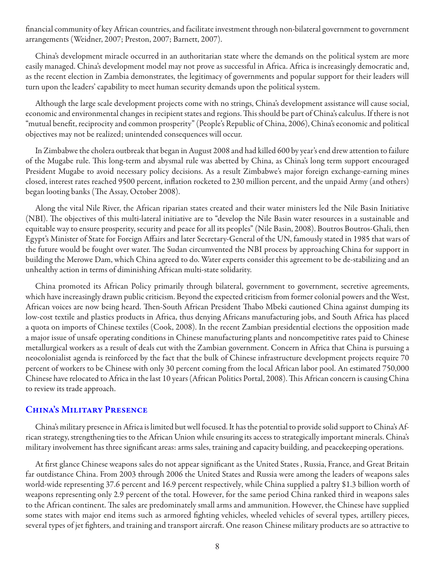financial community of key African countries, and facilitate investment through non-bilateral government to government arrangements (Weidner, 2007; Preston, 2007; Barnett, 2007).

China's development miracle occurred in an authoritarian state where the demands on the political system are more easily managed. China's development model may not prove as successful in Africa. Africa is increasingly democratic and, as the recent election in Zambia demonstrates, the legitimacy of governments and popular support for their leaders will turn upon the leaders' capability to meet human security demands upon the political system.

Although the large scale development projects come with no strings, China's development assistance will cause social, economic and environmental changes in recipient states and regions. This should be part of China's calculus. If there is not "mutual benefit, reciprocity and common prosperity" (People's Republic of China, 2006), China's economic and political objectives may not be realized; unintended consequences will occur.

In Zimbabwe the cholera outbreak that began in August 2008 and had killed 600 by year's end drew attention to failure of the Mugabe rule. This long-term and abysmal rule was abetted by China, as China's long term support encouraged President Mugabe to avoid necessary policy decisions. As a result Zimbabwe's major foreign exchange-earning mines closed, interest rates reached 9500 percent, inflation rocketed to 230 million percent, and the unpaid Army (and others) began looting banks (The Assay, October 2008).

Along the vital Nile River, the African riparian states created and their water ministers led the Nile Basin Initiative (NBI). The objectives of this multi-lateral initiative are to "develop the Nile Basin water resources in a sustainable and equitable way to ensure prosperity, security and peace for all its peoples" (Nile Basin, 2008). Boutros Boutros-Ghali, then Egypt's Minister of State for Foreign Affairs and later Secretary-General of the UN, famously stated in 1985 that wars of the future would be fought over water. The Sudan circumvented the NBI process by approaching China for support in building the Merowe Dam, which China agreed to do. Water experts consider this agreement to be de-stabilizing and an unhealthy action in terms of diminishing African multi-state solidarity.

China promoted its African Policy primarily through bilateral, government to government, secretive agreements, which have increasingly drawn public criticism. Beyond the expected criticism from former colonial powers and the West, African voices are now being heard. Then-South African President Thabo Mbeki cautioned China against dumping its low-cost textile and plastics products in Africa, thus denying Africans manufacturing jobs, and South Africa has placed a quota on imports of Chinese textiles (Cook, 2008). In the recent Zambian presidential elections the opposition made a major issue of unsafe operating conditions in Chinese manufacturing plants and noncompetitive rates paid to Chinese metallurgical workers as a result of deals cut with the Zambian government. Concern in Africa that China is pursuing a neocolonialist agenda is reinforced by the fact that the bulk of Chinese infrastructure development projects require 70 percent of workers to be Chinese with only 30 percent coming from the local African labor pool. An estimated 750,000 Chinese have relocated to Africa in the last 10 years (African Politics Portal, 2008). This African concern is causing China to review its trade approach.

#### China's Military Presence

China's military presence in Africa is limited but well focused. It has the potential to provide solid support to China's African strategy, strengthening ties to the African Union while ensuring its access to strategically important minerals. China's military involvement has three significant areas: arms sales, training and capacity building, and peacekeeping operations.

At first glance Chinese weapons sales do not appear significant as the United States , Russia, France, and Great Britain far outdistance China. From 2003 through 2006 the United States and Russia were among the leaders of weapons sales world-wide representing 37.6 percent and 16.9 percent respectively, while China supplied a paltry \$1.3 billion worth of weapons representing only 2.9 percent of the total. However, for the same period China ranked third in weapons sales to the African continent. The sales are predominately small arms and ammunition. However, the Chinese have supplied some states with major end items such as armored fighting vehicles, wheeled vehicles of several types, artillery pieces, several types of jet fighters, and training and transport aircraft. One reason Chinese military products are so attractive to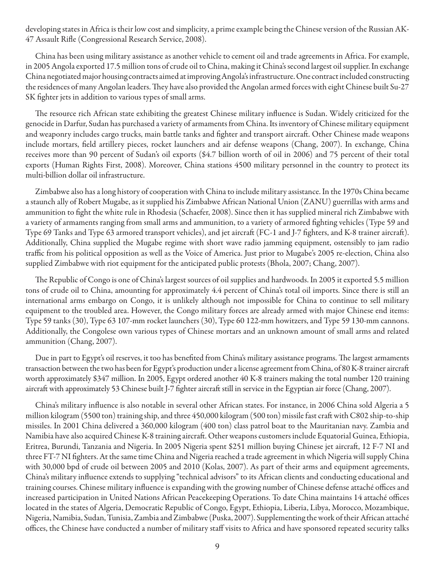developing states in Africa is their low cost and simplicity, a prime example being the Chinese version of the Russian AK-47 Assault Rifle (Congressional Research Service, 2008).

China has been using military assistance as another vehicle to cement oil and trade agreements in Africa. For example, in 2005 Angola exported 17.5 million tons of crude oil to China, making it China's second largest oil supplier. In exchange China negotiated major housing contracts aimed at improving Angola's infrastructure. One contract included constructing the residences of many Angolan leaders. They have also provided the Angolan armed forces with eight Chinese built Su-27 SK fighter jets in addition to various types of small arms.

The resource rich African state exhibiting the greatest Chinese military influence is Sudan. Widely criticized for the genocide in Darfur, Sudan has purchased a variety of armaments from China. Its inventory of Chinese military equipment and weaponry includes cargo trucks, main battle tanks and fighter and transport aircraft. Other Chinese made weapons include mortars, field artillery pieces, rocket launchers and air defense weapons (Chang, 2007). In exchange, China receives more than 90 percent of Sudan's oil exports (\$4.7 billion worth of oil in 2006) and 75 percent of their total exports (Human Rights First, 2008). Moreover, China stations 4500 military personnel in the country to protect its multi-billion dollar oil infrastructure.

Zimbabwe also has a long history of cooperation with China to include military assistance. In the 1970s China became a staunch ally of Robert Mugabe, as it supplied his Zimbabwe African National Union (ZANU) guerrillas with arms and ammunition to fight the white rule in Rhodesia (Schaefer, 2008). Since then it has supplied mineral rich Zimbabwe with a variety of armaments ranging from small arms and ammunition, to a variety of armored fighting vehicles (Type 59 and Type 69 Tanks and Type 63 armored transport vehicles), and jet aircraft (FC-1 and J-7 fighters, and K-8 trainer aircraft). Additionally, China supplied the Mugabe regime with short wave radio jamming equipment, ostensibly to jam radio traffic from his political opposition as well as the Voice of America. Just prior to Mugabe's 2005 re-election, China also supplied Zimbabwe with riot equipment for the anticipated public protests (Bhola, 2007; Chang, 2007).

The Republic of Congo is one of China's largest sources of oil supplies and hardwoods. In 2005 it exported 5.5 million tons of crude oil to China, amounting for approximately 4.4 percent of China's total oil imports. Since there is still an international arms embargo on Congo, it is unlikely although not impossible for China to continue to sell military equipment to the troubled area. However, the Congo military forces are already armed with major Chinese end items: Type 59 tanks (30), Type 63 107-mm rocket launchers (30), Type 60 122-mm howitzers, and Type 59 130-mm cannons. Additionally, the Congolese own various types of Chinese mortars and an unknown amount of small arms and related ammunition (Chang, 2007).

Due in part to Egypt's oil reserves, it too has benefited from China's military assistance programs. The largest armaments transaction between the two has been for Egypt's production under a license agreement from China, of 80 K-8 trainer aircraft worth approximately \$347 million. In 2005, Egypt ordered another 40 K-8 trainers making the total number 120 training aircraft with approximately 53 Chinese built J-7 fighter aircraft still in service in the Egyptian air force (Chang, 2007).

China's military influence is also notable in several other African states. For instance, in 2006 China sold Algeria a 5 million kilogram (5500 ton) training ship, and three 450,000 kilogram (500 ton) missile fast craft with C802 ship-to-ship missiles. In 2001 China delivered a 360,000 kilogram (400 ton) class patrol boat to the Mauritanian navy. Zambia and Namibia have also acquired Chinese K-8 training aircraft. Other weapons customers include Equatorial Guinea, Ethiopia, Eritrea, Burundi, Tanzania and Nigeria. In 2005 Nigeria spent \$251 million buying Chinese jet aircraft, 12 F-7 NI and three FT-7 NI fighters. At the same time China and Nigeria reached a trade agreement in which Nigeria will supply China with 30,000 bpd of crude oil between 2005 and 2010 (Kolas, 2007). As part of their arms and equipment agreements, China's military influence extends to supplying "technical advisors" to its African clients and conducting educational and training courses. Chinese military influence is expanding with the growing number of Chinese defense attaché offices and increased participation in United Nations African Peacekeeping Operations. To date China maintains 14 attaché offices located in the states of Algeria, Democratic Republic of Congo, Egypt, Ethiopia, Liberia, Libya, Morocco, Mozambique, Nigeria, Namibia, Sudan, Tunisia, Zambia and Zimbabwe (Puska, 2007). Supplementing the work of their African attaché offices, the Chinese have conducted a number of military staff visits to Africa and have sponsored repeated security talks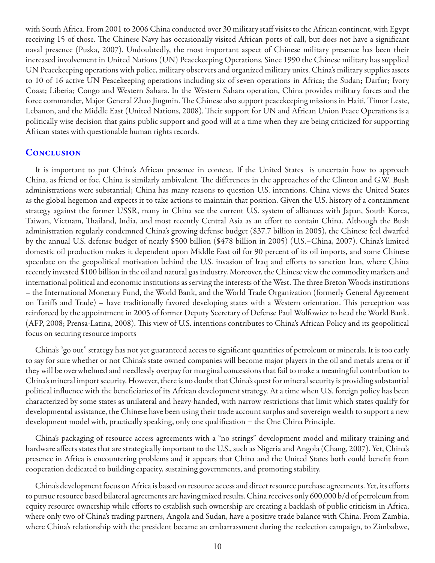with South Africa. From 2001 to 2006 China conducted over 30 military staff visits to the African continent, with Egypt receiving 15 of those. The Chinese Navy has occasionally visited African ports of call, but does not have a significant naval presence (Puska, 2007). Undoubtedly, the most important aspect of Chinese military presence has been their increased involvement in United Nations (UN) Peacekeeping Operations. Since 1990 the Chinese military has supplied UN Peacekeeping operations with police, military observers and organized military units. China's military supplies assets to 10 of 16 active UN Peacekeeping operations including six of seven operations in Africa; the Sudan; Darfur; Ivory Coast; Liberia; Congo and Western Sahara. In the Western Sahara operation, China provides military forces and the force commander, Major General Zhao Jingmin. The Chinese also support peacekeeping missions in Haiti, Timor Leste, Lebanon, and the Middle East (United Nations, 2008). Their support for UN and African Union Peace Operations is a politically wise decision that gains public support and good will at a time when they are being criticized for supporting African states with questionable human rights records.

#### **CONCLUSION**

It is important to put China's African presence in context. If the United States is uncertain how to approach China, as friend or foe, China is similarly ambivalent. The differences in the approaches of the Clinton and G.W. Bush administrations were substantial; China has many reasons to question U.S. intentions. China views the United States as the global hegemon and expects it to take actions to maintain that position. Given the U.S. history of a containment strategy against the former USSR, many in China see the current U.S. system of alliances with Japan, South Korea, Taiwan, Vietnam, Thailand, India, and most recently Central Asia as an effort to contain China. Although the Bush administration regularly condemned China's growing defense budget (\$37.7 billion in 2005), the Chinese feel dwarfed by the annual U.S. defense budget of nearly \$500 billion (\$478 billion in 2005) (U.S.–China, 2007). China's limited domestic oil production makes it dependent upon Middle East oil for 90 percent of its oil imports, and some Chinese speculate on the geopolitical motivation behind the U.S. invasion of Iraq and efforts to sanction Iran, where China recently invested \$100 billion in the oil and natural gas industry. Moreover, the Chinese view the commodity markets and international political and economic institutions as serving the interests of the West. The three Breton Woods institutions – the International Monetary Fund, the World Bank, and the World Trade Organization (formerly General Agreement on Tariffs and Trade) – have traditionally favored developing states with a Western orientation. This perception was reinforced by the appointment in 2005 of former Deputy Secretary of Defense Paul Wolfowicz to head the World Bank. (AFP, 2008; Prensa-Latina, 2008). This view of U.S. intentions contributes to China's African Policy and its geopolitical focus on securing resource imports

China's "go out" strategy has not yet guaranteed access to significant quantities of petroleum or minerals. It is too early to say for sure whether or not China's state owned companies will become major players in the oil and metals arena or if they will be overwhelmed and needlessly overpay for marginal concessions that fail to make a meaningful contribution to China's mineral import security. However, there is no doubt that China's quest for mineral security is providing substantial political influence with the beneficiaries of its African development strategy. At a time when U.S. foreign policy has been characterized by some states as unilateral and heavy-handed, with narrow restrictions that limit which states qualify for developmental assistance, the Chinese have been using their trade account surplus and sovereign wealth to support a new development model with, practically speaking, only one qualification − the One China Principle.

China's packaging of resource access agreements with a "no strings" development model and military training and hardware affects states that are strategically important to the U.S., such as Nigeria and Angola (Chang, 2007). Yet, China's presence in Africa is encountering problems and it appears that China and the United States both could benefit from cooperation dedicated to building capacity, sustaining governments, and promoting stability.

China's development focus on Africa is based on resource access and direct resource purchase agreements. Yet, its efforts to pursue resource based bilateral agreements are having mixed results. China receives only 600,000 b/d of petroleum from equity resource ownership while efforts to establish such ownership are creating a backlash of public criticism in Africa, where only two of China's trading partners, Angola and Sudan, have a positive trade balance with China. From Zambia, where China's relationship with the president became an embarrassment during the reelection campaign, to Zimbabwe,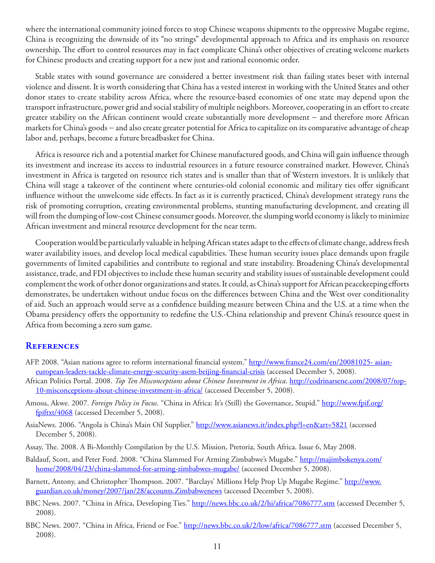where the international community joined forces to stop Chinese weapons shipments to the oppressive Mugabe regime, China is recognizing the downside of its "no strings" developmental approach to Africa and its emphasis on resource ownership. The effort to control resources may in fact complicate China's other objectives of creating welcome markets for Chinese products and creating support for a new just and rational economic order.

Stable states with sound governance are considered a better investment risk than failing states beset with internal violence and dissent. It is worth considering that China has a vested interest in working with the United States and other donor states to create stability across Africa, where the resource-based economies of one state may depend upon the transport infrastructure, power grid and social stability of multiple neighbors. Moreover, cooperating in an effort to create greater stability on the African continent would create substantially more development − and therefore more African markets for China's goods − and also create greater potential for Africa to capitalize on its comparative advantage of cheap labor and, perhaps, become a future breadbasket for China.

Africa is resource rich and a potential market for Chinese manufactured goods, and China will gain influence through its investment and increase its access to industrial resources in a future resource constrained market. However, China's investment in Africa is targeted on resource rich states and is smaller than that of Western investors. It is unlikely that China will stage a takeover of the continent where centuries-old colonial economic and military ties offer significant influence without the unwelcome side effects. In fact as it is currently practiced, China's development strategy runs the risk of promoting corruption, creating environmental problems, stunting manufacturing development, and creating ill will from the dumping of low-cost Chinese consumer goods. Moreover, the slumping world economy is likely to minimize African investment and mineral resource development for the near term.

Cooperation would be particularly valuable in helping African states adapt to the effects of climate change, address fresh water availability issues, and develop local medical capabilities. These human security issues place demands upon fragile governments of limited capabilities and contribute to regional and state instability. Broadening China's developmental assistance, trade, and FDI objectives to include these human security and stability issues of sustainable development could complement the work of other donor organizations and states. It could, as China's support for African peacekeeping efforts demonstrates, be undertaken without undue focus on the differences between China and the West over conditionality of aid. Such an approach would serve as a confidence building measure between China and the U.S. at a time when the Obama presidency offers the opportunity to redefine the U.S.-China relationship and prevent China's resource quest in Africa from becoming a zero sum game.

#### **REFERENCES**

- AFP. 2008. "Asian nations agree to reform international financial system." [http://www.france24.com/en/20081025- asian](http://www.france24.com/en/20081025-asian-european-leaders-tackle-climate-energy-security-asem-beijing-financial-crisis)[european-leaders-tackle-climate-energy-security-asem-beijing-financial-crisis](http://www.france24.com/en/20081025-asian-european-leaders-tackle-climate-energy-security-asem-beijing-financial-crisis) (accessed December 5, 2008).
- African Politics Portal. 2008. *Top Ten Misconceptions about Chinese Investment in Africa*. [http://codrinarsene.com/2008/07/top-](http://codrinarsene.com/2008/07/top-10-misconceptions-about-chinese-investment-in-africa/ )[10-misconceptions-about-chinese-investment-in-africa/](http://codrinarsene.com/2008/07/top-10-misconceptions-about-chinese-investment-in-africa/ ) (accessed December 5, 2008).
- Amosu, Akwe. 2007. *Foreign Policy in Focus*. "China in Africa: It's (Still) the Governance, Stupid." [http://www.fpif.org/](http://www.fpif.org/fpiftxt/4068 ) [fpiftxt/4068](http://www.fpif.org/fpiftxt/4068 ) (accessed December 5, 2008).
- AsiaNews. 2006. "Angola is China's Main Oil Supplier." [http://www.asianews.it/index.php?l=en&art=5821](http://www.asianews.it/index.php?l=en&art=5821 ) (accessed December 5, 2008).
- Assay, The. 2008. A Bi-Monthly Compilation by the U.S. Mission, Pretoria, South Africa. Issue 6, May 2008.
- Baldauf, Scott, and Peter Ford. 2008. "China Slammed For Arming Zimbabwe's Mugabe." [http://majimbokenya.com/](http://majimbokenya.com/home/2008/04/23/china-slammed-for-arming-zimbabwes-mugabe/ ) [home/2008/04/23/china-slammed-for-arming-zimbabwes-mugabe/](http://majimbokenya.com/home/2008/04/23/china-slammed-for-arming-zimbabwes-mugabe/ ) (accessed December 5, 2008).
- Barnett, Antony, and Christopher Thompson. 2007. "Barclays' Millions Help Prop Up Mugabe Regime." [http://www.](http://www.guardian.co.uk/money/2007/jan/28/accounts.Zimbabwenews ) [guardian.co.uk/money/2007/jan/28/accounts.Zimbabwenews](http://www.guardian.co.uk/money/2007/jan/28/accounts.Zimbabwenews ) (accessed December 5, 2008).
- BBC News. 2007. "China in Africa, Developing Ties." [http://news.bbc.co.uk/2/hi/africa/7086777.stm](http://news.bbc.co.uk/2/hi/africa/7086777.stm ) (accessed December 5, 2008).
- BBC News. 2007. "China in Africa, Friend or Foe." [http://news.bbc.co.uk/2/low/africa/7086777.stm](http://news.bbc.co.uk/2/low/africa/7086777.stm ) (accessed December 5, 2008).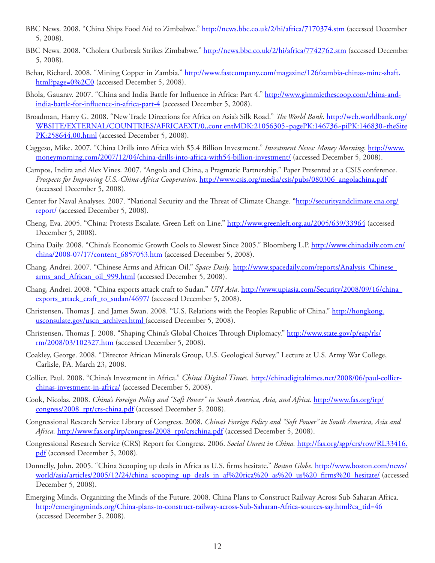- BBC News. 2008. "China Ships Food Aid to Zimbabwe." [http://news.bbc.co.uk/2/hi/africa/7170374.stm](http://news.bbc.co.uk/2/hi/africa/7170374.stm ) (accessed December 5, 2008).
- BBC News. 2008. "Cholera Outbreak Strikes Zimbabwe." [http://news.bbc.co.uk/2/hi/africa/7742762.stm](http://news.bbc.co.uk/2/hi/africa/7742762.stm ) (accessed December 5, 2008).
- Behar, Richard. 2008. "Mining Copper in Zambia." [http://www.fastcompany.com/magazine/126/zambia-chinas-mine-shaft.](http://www.fastcompany.com/magazine/126/zambia-chinas-mine-shaft.html?page=0%2C0 ) [html?page=0%2C0](http://www.fastcompany.com/magazine/126/zambia-chinas-mine-shaft.html?page=0%2C0 ) (accessed December 5, 2008).
- Bhola, Gauarav. 2007. "China and India Battle for Influence in Africa: Part 4." [http://www.gimmiethescoop.com/china-and](http://www.gimmiethescoop.com/china-and-india-battle-for-influence-in-africa-part-4 )[india-battle-for-influence-in-africa-part-4](http://www.gimmiethescoop.com/china-and-india-battle-for-influence-in-africa-part-4 ) (accessed December 5, 2008).
- Broadman, Harry G. 2008. "New Trade Directions for Africa on Asia's Silk Road." *The World Bank*. [http://web.worldbank.org/](http://web.worldbank.org/WBSITE/EXTERNAL/COUNTRIES/AFRICAEXT/0,,cont ) [WBSITE/EXTERNAL/COUNTRIES/AFRICAEXT/0,,cont](http://web.worldbank.org/WBSITE/EXTERNAL/COUNTRIES/AFRICAEXT/0,,cont ) entMDK:21056305~pagePK:146736~piPK:146830~theSite PK:258644,00.html (accessed December 5, 2008).
- Caggeso, Mike. 2007. "China Drills into Africa with \$5.4 Billion Investment." *Investment News: Money Morning*. [http://www.](http://www.moneymorning.com/2007/12/04/china-drills-into-africa-with-54-billion-investment/ ) [moneymorning.com/2007/12/04/china-drills-into-africa-with54-billion-investment/](http://www.moneymorning.com/2007/12/04/china-drills-into-africa-with-54-billion-investment/ ) (accessed December 5, 2008).
- Campos, Indira and Alex Vines. 2007. "Angola and China, a Pragmatic Partnership." Paper Presented at a CSIS conference. *Prospects for Improving U.S.-China-Africa Cooperation*. [http://www.csis.org/media/csis/pubs/080306\\_angolachina.pdf](http://www.csis.org/media/csis/pubs/080306_angolachina.pdf ) (accessed December 5, 2008).
- Center for Naval Analyses. 2007. "National Security and the Threat of Climate Change. ["http://securityandclimate.cna.org/](http://securityandclimate.cna.org/report/ ) [report/](http://securityandclimate.cna.org/report/ ) (accessed December 5, 2008).
- Cheng, Eva. 2005. "China: Protests Escalate. Green Left on Line." [http://www.greenleft.org.au/2005/639/33964](http://www.greenleft.org.au/2005/639/33964 ) (accessed December 5, 2008).
- [China Daily.](http://ChinaDaily.com.cn ) 2008. "China's Economic Growth Cools to Slowest Since 2005." Bloomberg L.P. [http://www.chinadaily.com.cn/](http://www.chinadaily.com.cn/china/2008-07/17/content_6857053.htm ) [china/2008-07/17/content\\_6857053.htm](http://www.chinadaily.com.cn/china/2008-07/17/content_6857053.htm ) (accessed December 5, 2008).
- Chang, Andrei. 2007. "Chinese Arms and African Oil." *Space Daily*. [http://www.spacedaily.com/reports/Analysis\\_Chinese\\_](http://www.spacedaily.com/reports/Analysis_Chinese_arms_and_African_oil_999.html ) arms and African oil 999.html (accessed December 5, 2008).
- Chang, Andrei. 2008. "China exports attack craft to Sudan." *UPI Asia*. [http://www.upiasia.com/Security/2008/09/16/china\\_](http://www.upiasia.com/Security/2008/09/16/china_exports_attack_craft_to_sudan/4697/ ) [exports\\_attack\\_craft\\_to\\_sudan/4697/](http://www.upiasia.com/Security/2008/09/16/china_exports_attack_craft_to_sudan/4697/ ) (accessed December 5, 2008).
- Christensen, Thomas J. and James Swan. 2008. "U.S. Relations with the Peoples Republic of China." [http://hongkong.](http://hongkong.usconsulate.gov/uscn_archives.html) [usconsulate.gov/uscn\\_archives.html](http://hongkong.usconsulate.gov/uscn_archives.html) (accessed December 5, 2008).
- Christensen, Thomas J. 2008. "Shaping China's Global Choices Through Diplomacy." [http://www.state.gov/p/eap/rls/](http://www.state.gov/p/eap/rls/rm/2008/03/102327.htm ) [rm/2008/03/102327.htm](http://www.state.gov/p/eap/rls/rm/2008/03/102327.htm ) (accessed December 5, 2008).
- Coakley, George. 2008. "Director African Minerals Group, U.S. Geological Survey." Lecture at U.S. Army War College, Carlisle, PA. March 23, 2008.
- Collier, Paul. 2008. "China's Investment in Africa." *China Digital Times.* [http://chinadigitaltimes.net/2008/06/paul-collier](http://chinadigitaltimes.net/2008/06/paul-collier-chinas-investment-in-africa/ )[chinas-investment-in-africa/](http://chinadigitaltimes.net/2008/06/paul-collier-chinas-investment-in-africa/ ) (accessed December 5, 2008).
- Cook, Nicolas. 2008. *China's Foreign Policy and "Soft Power" in South America, Asia, and Africa*. [http://www.fas.org/irp/](http://www.fas.org/irp/congress/2008_rpt/crs-china.pdf ) [congress/2008\\_rpt/crs-china.pdf](http://www.fas.org/irp/congress/2008_rpt/crs-china.pdf ) (accessed December 5, 2008).
- Congressional Research Service Library of Congress. 2008. *China's Foreign Policy and "Soft Power" in South America, Asia and*  Africa. [http://www.fas.org/irp/congress/2008\\_rpt/crschina.pdf](http://www.fas.org/irp/congress/2008_rpt/crs-china.pdf ) (accessed December 5, 2008).
- Congressional Research Service (CRS) Report for Congress. 2006. *Social Unrest in China.* [http://fas.org/sgp/crs/row/RL33416.](http://fas.org/sgp/crs/row/RL33416.pdf ) [pdf](http://fas.org/sgp/crs/row/RL33416.pdf ) (accessed December 5, 2008).
- Donnelly, John. 2005. "China Scooping up deals in Africa as U.S. firms hesitate." *Boston Globe.* http://www.boston.com/news/ world/asia/articles/2005/12/24/china\_scooping\_up\_deals\_in\_af%20rica%20\_as%20\_us%20\_firms%20\_hesitate/ (accessed December 5, 2008).
- Emerging Minds, Organizing the Minds of the Future. 2008. China Plans to Construct Railway Across Sub-Saharan Africa. http://emergingminds.org/China-plans-to-construct-railway-across-Sub-Saharan-Africa-sources-say.html?ca\_tid=46 (accessed December 5, 2008).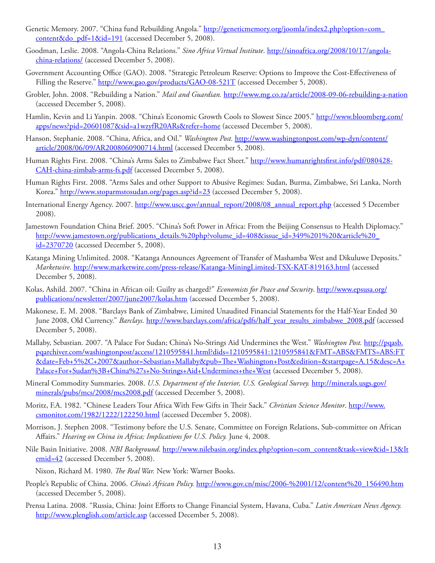- Genetic Memory. 2007. "China fund Rebuilding Angola." [http://geneticmemory.org/joomla/index2.php?option=com\\_](http://geneticmemory.org/joomla/index2.php?option=com_content&do_pdf=1&id=191 ) [content&do\\_pdf=1&id=191](http://geneticmemory.org/joomla/index2.php?option=com_content&do_pdf=1&id=191 ) (accessed December 5, 2008).
- Goodman, Leslie. 2008. "Angola-China Relations." *Sino Africa Virtual Institute*. [http://sinoafrica.org/2008/10/17/angola](http://sinoafrica.org/2008/10/17/angola-china-relations/ )[china-relations/](http://sinoafrica.org/2008/10/17/angola-china-relations/ ) (accessed December 5, 2008).
- Government Accounting Office (GAO). 2008. "Strategic Petroleum Reserve: Options to Improve the Cost-Effectiveness of Filling the Reserve." [http://www.gao.gov/products/GAO-08-521T](http://www.gao.gov/products/GAO-08-521T ) (accessed December 5, 2008).
- Grobler, John. 2008. "Rebuilding a Nation." *Mail and Guardian.* [http://www.mg.co.za/article/2008-](http://www.mg.co.za/article/2008- )09-06-rebuilding-a-nation (accessed December 5, 2008).
- Hamlin, Kevin and Li Yanpin. 2008. "China's Economic Growth Cools to Slowest Since 2005." [http://www.bloomberg.com/](http://www.bloomberg.com/apps/news?pid=20601087&sid=a1wzyfR20ARs&refer=home ) [apps/news?pid=20601087&sid=a1wzyfR20ARs&refer=home](http://www.bloomberg.com/apps/news?pid=20601087&sid=a1wzyfR20ARs&refer=home ) (accessed December 5, 2008).
- Hanson, Stephanie. 2008. "China, Africa, and Oil." *Washington Post.* [http://www.washingtonpost.com/wp-dyn/content/](http://www.washingtonpost.com/wp-dyn/content/article/2008/06/09/AR2008060900714.html ) [article/2008/06/09/AR2008060900714.html](http://www.washingtonpost.com/wp-dyn/content/article/2008/06/09/AR2008060900714.html ) (accessed December 5, 2008).
- Human Rights First. 2008. "China's Arms Sales to Zimbabwe Fact Sheet." [http://www.humanrightsfirst.info/pdf/080428-](http://www.humanrightsfirst.info/pdf/080428-CAH-china-zimbab-arms-fs.pdf ) [CAH-china-zimbab-arms-fs.pdf](http://www.humanrightsfirst.info/pdf/080428-CAH-china-zimbab-arms-fs.pdf ) (accessed December 5, 2008).
- Human Rights First. 2008. "Arms Sales and other Support to Abusive Regimes: Sudan, Burma, Zimbabwe, Sri Lanka, North Korea." [http://www.stoparmstosudan.org/pages.asp?id=23](http://www.stoparmstosudan.org/pages.asp?id=23 ) (accessed December 5, 2008).
- International Energy Agency. 2007. http://www.uscc.gov/annual\_report/2008/08\_annual\_report.php (accessed 5 December 2008).
- Jamestown Foundation China Brief. 2005. "China's Soft Power in Africa: From the Beijing Consensus to Health Diplomacy." http://www.jamestown.org/publications\_details.%20php?volume\_id=408&issue\_id=349%201%20&article%20 id=2370720 (accessed December 5, 2008).
- Katanga Mining Unlimited. 2008. "Katanga Announces Agreement of Transfer of Mashamba West and Dikuluwe Deposits." *Marketwire*. [http://www.marketwire.com/press-release/Katanga-MiningLimited-TSX-KAT-819163.html](http://www.marketwire.com/press-release/Katanga-Mining-Limited-TSX-KAT-819163.html ) (accessed December 5, 2008).
- Kolas, Ashild. 2007. "China in African oil: Guilty as charged?" *Economists for Peace and Security*. [http://www.epsusa.org/](http://www.epsusa.org/publications/newsletter/2007/june2007/kolas.htm) [publications/newsletter/2007/june2007/kolas.htm](http://www.epsusa.org/publications/newsletter/2007/june2007/kolas.htm) (accessed December 5, 2008).
- Makonese, E. M. 2008. "Barclays Bank of Zimbabwe, Limited Unaudited Financial Statements for the Half-Year Ended 30 June 2008, Old Currency." *Barclays.* [http://www.barclays.com/africa/pdfs/half\\_year\\_results\\_zimbabwe\\_2008.pdf](http://www.barclays.com/africa/pdfs/half_year_results_zimbabwe_2008.pdf ) (accessed December 5, 2008).
- Mallaby, Sebastian. 2007. "A Palace For Sudan; China's No-Strings Aid Undermines the West." *Washington Post.* [http://pqasb.](http://pqasb.pqarchiver.com/washingtonpost/access/1210595841.html?dids=1210595841:1210595841&FMT=ABS&FMTS=ABS:FT&date=Feb+5%2C+2007&author=Sebastian+Mallaby&pub=The+Washington+Post&edition=&startpage=A.15&desc=A+Palace+For+Sudan%3B+China%27s+No-Strings+Aid+Undermines+the+West) [pqarchiver.com/washingtonpost/access/1210595841.html?dids=1210595841:1210595841&FMT=ABS&FMTS=ABS:FT](http://pqasb.pqarchiver.com/washingtonpost/access/1210595841.html?dids=1210595841:1210595841&FMT=ABS&FMTS=ABS:FT&date=Feb+5%2C+2007&author=Sebastian+Mallaby&pub=The+Washington+Post&edition=&startpage=A.15&desc=A+Palace+For+Sudan%3B+China%27s+No-Strings+Aid+Undermines+the+West) [&date=Feb+5%2C+2007&author=Sebastian+Mallaby&pub=The+Washington+Post&edition=&startpage=A.15&desc=A+](http://pqasb.pqarchiver.com/washingtonpost/access/1210595841.html?dids=1210595841:1210595841&FMT=ABS&FMTS=ABS:FT&date=Feb+5%2C+2007&author=Sebastian+Mallaby&pub=The+Washington+Post&edition=&startpage=A.15&desc=A+Palace+For+Sudan%3B+China%27s+No-Strings+Aid+Undermines+the+West) [Palace+For+Sudan%3B+China%27s+No-Strings+Aid+Undermines+the+West](http://pqasb.pqarchiver.com/washingtonpost/access/1210595841.html?dids=1210595841:1210595841&FMT=ABS&FMTS=ABS:FT&date=Feb+5%2C+2007&author=Sebastian+Mallaby&pub=The+Washington+Post&edition=&startpage=A.15&desc=A+Palace+For+Sudan%3B+China%27s+No-Strings+Aid+Undermines+the+West) (accessed December 5, 2008).
- Mineral Commodity Summaries. 2008. *U.S. Department of the Interior, U.S. Geological Survey.* [http://minerals.usgs.gov/](http://minerals.usgs.gov/minerals/pubs/mcs/2008/mcs2008.pdf ) [minerals/pubs/mcs/2008/mcs2008.pdf](http://minerals.usgs.gov/minerals/pubs/mcs/2008/mcs2008.pdf ) (accessed December 5, 2008).
- Moritz, F.A. 1982. "Chinese Leaders Tour Africa With Few Gifts in Their Sack." *Christian Science Monitor*. [http://www.](http://www.csmonitor.com/1982/1222/122250.html ) [csmonitor.com/1982/1222/122250.html](http://www.csmonitor.com/1982/1222/122250.html ) (accessed December 5, 2008).
- Morrison, J. Stephen 2008. "Testimony before the U.S. Senate, Committee on Foreign Relations, Sub-committee on African Affairs." *Hearing on China in Africa; Implications for U.S. Policy.* June 4, 2008.
- Nile Basin Initiative. 2008. *NBI Background*. [http://www.nilebasin.org/index.php?option=com\\_content&task=view&id=13&It](http://www.nilebasin.org/index.php?option=com_content&task=view&id=13&Itemid=42 ) [emid=42](http://www.nilebasin.org/index.php?option=com_content&task=view&id=13&Itemid=42 ) (accessed December 5, 2008).
	- Nixon, Richard M. 1980. *The Real War.* New York: Warner Books.
- People's Republic of China. 2006. *China's African Policy.* [http://www.gov.cn/misc/2006-%2001/12/content%20\\_156490.htm](http://www.gov.cn/misc/2006- 01/12/content _156490.htm) (accessed December 5, 2008).
- Prensa Latina. 2008. "Russia, China: Joint Efforts to Change Financial System, Havana, Cuba." *Latin American News Agency.*  [http://www.plenglish.com/article.asp](http://www.plenglish.com/article.asp ) (accessed December 5, 2008).